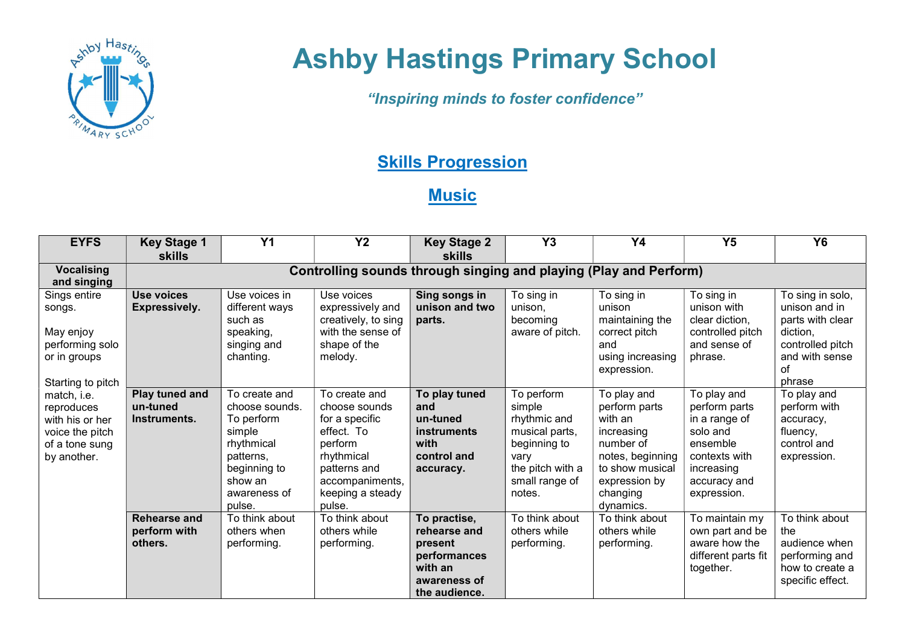

## Ashby Hastings Primary School

"Inspiring minds to foster confidence"

## **Skills Progression**

## **Music**

| <b>EYFS</b>                                                                                                                                                                                     | <b>Key Stage 1</b><br><b>skills</b>                               | Y <sub>1</sub>                                                                                                                          | <b>Y2</b>                                                                                                                                                | <b>Key Stage 2</b><br><b>skills</b>                                                                 | Y3                                                                                                                             | <b>Y4</b>                                                                                                                                           | Y <sub>5</sub>                                                                                                                      | <b>Y6</b>                                                                                                               |  |
|-------------------------------------------------------------------------------------------------------------------------------------------------------------------------------------------------|-------------------------------------------------------------------|-----------------------------------------------------------------------------------------------------------------------------------------|----------------------------------------------------------------------------------------------------------------------------------------------------------|-----------------------------------------------------------------------------------------------------|--------------------------------------------------------------------------------------------------------------------------------|-----------------------------------------------------------------------------------------------------------------------------------------------------|-------------------------------------------------------------------------------------------------------------------------------------|-------------------------------------------------------------------------------------------------------------------------|--|
| <b>Vocalising</b><br>and singing                                                                                                                                                                | Controlling sounds through singing and playing (Play and Perform) |                                                                                                                                         |                                                                                                                                                          |                                                                                                     |                                                                                                                                |                                                                                                                                                     |                                                                                                                                     |                                                                                                                         |  |
| Sings entire<br>songs.<br>May enjoy<br>performing solo<br>or in groups<br>Starting to pitch<br>match, i.e.<br>reproduces<br>with his or her<br>voice the pitch<br>of a tone sung<br>by another. | <b>Use voices</b><br><b>Expressively.</b>                         | Use voices in<br>different ways<br>such as<br>speaking,<br>singing and<br>chanting.                                                     | Use voices<br>expressively and<br>creatively, to sing<br>with the sense of<br>shape of the<br>melody.                                                    | Sing songs in<br>unison and two<br>parts.                                                           | To sing in<br>unison.<br>becoming<br>aware of pitch.                                                                           | To sing in<br>unison<br>maintaining the<br>correct pitch<br>and<br>using increasing<br>expression.                                                  | To sing in<br>unison with<br>clear diction,<br>controlled pitch<br>and sense of<br>phrase.                                          | To sing in solo,<br>unison and in<br>parts with clear<br>diction,<br>controlled pitch<br>and with sense<br>of<br>phrase |  |
|                                                                                                                                                                                                 | Play tuned and<br>un-tuned<br>Instruments.                        | To create and<br>choose sounds.<br>To perform<br>simple<br>rhythmical<br>patterns,<br>beginning to<br>show an<br>awareness of<br>pulse. | To create and<br>choose sounds<br>for a specific<br>effect. To<br>perform<br>rhythmical<br>patterns and<br>accompaniments,<br>keeping a steady<br>pulse. | To play tuned<br>and<br>un-tuned<br>instruments<br>with<br>control and<br>accuracy.                 | To perform<br>simple<br>rhythmic and<br>musical parts,<br>beginning to<br>vary<br>the pitch with a<br>small range of<br>notes. | To play and<br>perform parts<br>with an<br>increasing<br>number of<br>notes, beginning<br>to show musical<br>expression by<br>changing<br>dynamics. | To play and<br>perform parts<br>in a range of<br>solo and<br>ensemble<br>contexts with<br>increasing<br>accuracy and<br>expression. | To play and<br>perform with<br>accuracy,<br>fluency,<br>control and<br>expression.                                      |  |
|                                                                                                                                                                                                 | <b>Rehearse and</b><br>perform with<br>others.                    | To think about<br>others when<br>performing.                                                                                            | To think about<br>others while<br>performing.                                                                                                            | To practise,<br>rehearse and<br>present<br>performances<br>with an<br>awareness of<br>the audience. | To think about<br>others while<br>performing.                                                                                  | To think about<br>others while<br>performing.                                                                                                       | To maintain my<br>own part and be<br>aware how the<br>different parts fit<br>together.                                              | To think about<br>the<br>audience when<br>performing and<br>how to create a<br>specific effect.                         |  |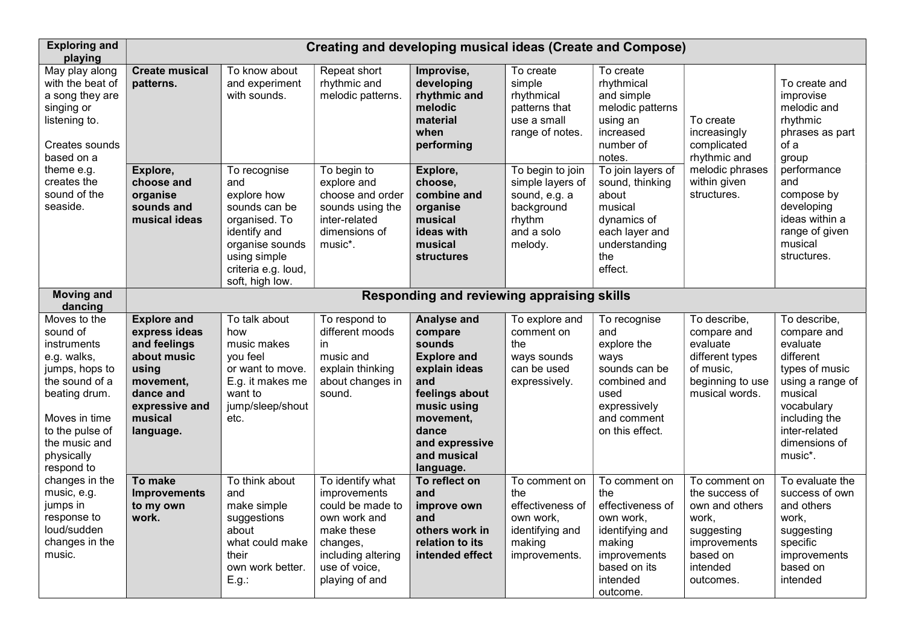| <b>Exploring and</b><br>playing                                                                                                                                                              | <b>Creating and developing musical ideas (Create and Compose)</b>                                                                               |                                                                                                                                                                   |                                                                                                                                                         |                                                                                                                                                                                     |                                                                                                        |                                                                                                                                            |                                                                                                                               |                                                                                                                                                                                   |
|----------------------------------------------------------------------------------------------------------------------------------------------------------------------------------------------|-------------------------------------------------------------------------------------------------------------------------------------------------|-------------------------------------------------------------------------------------------------------------------------------------------------------------------|---------------------------------------------------------------------------------------------------------------------------------------------------------|-------------------------------------------------------------------------------------------------------------------------------------------------------------------------------------|--------------------------------------------------------------------------------------------------------|--------------------------------------------------------------------------------------------------------------------------------------------|-------------------------------------------------------------------------------------------------------------------------------|-----------------------------------------------------------------------------------------------------------------------------------------------------------------------------------|
| May play along<br>with the beat of<br>a song they are<br>singing or<br>listening to.<br>Creates sounds<br>based on a                                                                         | <b>Create musical</b><br>patterns.                                                                                                              | To know about<br>and experiment<br>with sounds.                                                                                                                   | Repeat short<br>rhythmic and<br>melodic patterns.                                                                                                       | Improvise,<br>developing<br>rhythmic and<br>melodic<br>material<br>when<br>performing                                                                                               | To create<br>simple<br>rhythmical<br>patterns that<br>use a small<br>range of notes.                   | To create<br>rhythmical<br>and simple<br>melodic patterns<br>using an<br>increased<br>number of<br>notes.                                  | To create<br>increasingly<br>complicated<br>rhythmic and                                                                      | To create and<br>improvise<br>melodic and<br>rhythmic<br>phrases as part<br>of a<br>group                                                                                         |
| theme e.g.<br>creates the<br>sound of the<br>seaside.                                                                                                                                        | Explore,<br>choose and<br>organise<br>sounds and<br>musical ideas                                                                               | To recognise<br>and<br>explore how<br>sounds can be<br>organised. To<br>identify and<br>organise sounds<br>using simple<br>criteria e.g. loud,<br>soft, high low. | To begin to<br>explore and<br>choose and order<br>sounds using the<br>inter-related<br>dimensions of<br>music*.                                         | Explore,<br>choose,<br>combine and<br>organise<br>musical<br>ideas with<br>musical<br><b>structures</b>                                                                             | To begin to join<br>simple layers of<br>sound, e.g. a<br>background<br>rhythm<br>and a solo<br>melody. | To join layers of<br>sound, thinking<br>about<br>musical<br>dynamics of<br>each layer and<br>understanding<br>the<br>effect.               | melodic phrases<br>within given<br>structures.                                                                                | performance<br>and<br>compose by<br>developing<br>ideas within a<br>range of given<br>musical<br>structures.                                                                      |
| <b>Moving and</b><br>dancing                                                                                                                                                                 |                                                                                                                                                 |                                                                                                                                                                   |                                                                                                                                                         | Responding and reviewing appraising skills                                                                                                                                          |                                                                                                        |                                                                                                                                            |                                                                                                                               |                                                                                                                                                                                   |
| Moves to the<br>sound of<br>instruments<br>e.g. walks,<br>jumps, hops to<br>the sound of a<br>beating drum.<br>Moves in time<br>to the pulse of<br>the music and<br>physically<br>respond to | <b>Explore and</b><br>express ideas<br>and feelings<br>about music<br>using<br>movement,<br>dance and<br>expressive and<br>musical<br>language. | To talk about<br>how<br>music makes<br>you feel<br>or want to move.<br>E.g. it makes me<br>want to<br>jump/sleep/shout<br>etc.                                    | To respond to<br>different moods<br>in<br>music and<br>explain thinking<br>about changes in<br>sound.                                                   | Analyse and<br>compare<br>sounds<br><b>Explore and</b><br>explain ideas<br>and<br>feelings about<br>music using<br>movement,<br>dance<br>and expressive<br>and musical<br>language. | To explore and<br>comment on<br>the<br>ways sounds<br>can be used<br>expressively.                     | To recognise<br>and<br>explore the<br>ways<br>sounds can be<br>combined and<br>used<br>expressively<br>and comment<br>on this effect.      | To describe,<br>compare and<br>evaluate<br>different types<br>of music,<br>beginning to use<br>musical words.                 | To describe,<br>compare and<br>evaluate<br>different<br>types of music<br>using a range of<br>musical<br>vocabulary<br>including the<br>inter-related<br>dimensions of<br>music*. |
| changes in the<br>music, e.g.<br>jumps in<br>response to<br>loud/sudden<br>changes in the<br>music.                                                                                          | To make<br><b>Improvements</b><br>to my own<br>work.                                                                                            | To think about<br>and<br>make simple<br>suggestions<br>about<br>what could make<br>their<br>own work better.<br>E.g.:                                             | To identify what<br>improvements<br>could be made to<br>own work and<br>make these<br>changes,<br>including altering<br>use of voice,<br>playing of and | To reflect on<br>and<br>improve own<br>and<br>others work in<br>relation to its<br>intended effect                                                                                  | To comment on<br>the<br>effectiveness of<br>own work,<br>identifying and<br>making<br>improvements.    | To comment on<br>the<br>effectiveness of<br>own work,<br>identifying and<br>making<br>improvements<br>based on its<br>intended<br>outcome. | To comment on<br>the success of<br>own and others<br>work,<br>suggesting<br>improvements<br>based on<br>intended<br>outcomes. | To evaluate the<br>success of own<br>and others<br>work,<br>suggesting<br>specific<br>improvements<br>based on<br>intended                                                        |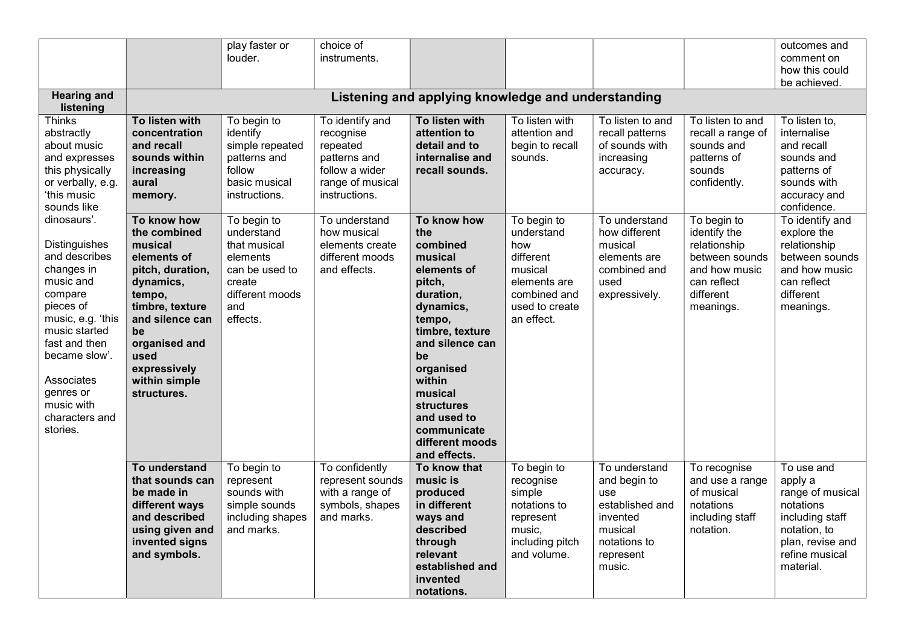|                                                                                                                                                                                                                                                 |                                                                                                                                                                                                                       | play faster or<br>louder.                                                                                               | choice of<br>instruments.                                                                                       |                                                                                                                                                                                                                                                                            |                                                                                                                                        |                                                                                                                       |                                                                                                                         | outcomes and<br>comment on                                                                                                                   |  |
|-------------------------------------------------------------------------------------------------------------------------------------------------------------------------------------------------------------------------------------------------|-----------------------------------------------------------------------------------------------------------------------------------------------------------------------------------------------------------------------|-------------------------------------------------------------------------------------------------------------------------|-----------------------------------------------------------------------------------------------------------------|----------------------------------------------------------------------------------------------------------------------------------------------------------------------------------------------------------------------------------------------------------------------------|----------------------------------------------------------------------------------------------------------------------------------------|-----------------------------------------------------------------------------------------------------------------------|-------------------------------------------------------------------------------------------------------------------------|----------------------------------------------------------------------------------------------------------------------------------------------|--|
|                                                                                                                                                                                                                                                 |                                                                                                                                                                                                                       |                                                                                                                         |                                                                                                                 |                                                                                                                                                                                                                                                                            |                                                                                                                                        |                                                                                                                       |                                                                                                                         | how this could                                                                                                                               |  |
|                                                                                                                                                                                                                                                 |                                                                                                                                                                                                                       |                                                                                                                         |                                                                                                                 |                                                                                                                                                                                                                                                                            |                                                                                                                                        |                                                                                                                       |                                                                                                                         | be achieved.                                                                                                                                 |  |
| <b>Hearing and</b><br>listening                                                                                                                                                                                                                 | Listening and applying knowledge and understanding                                                                                                                                                                    |                                                                                                                         |                                                                                                                 |                                                                                                                                                                                                                                                                            |                                                                                                                                        |                                                                                                                       |                                                                                                                         |                                                                                                                                              |  |
| Thinks<br>abstractly<br>about music<br>and expresses<br>this physically<br>or verbally, e.g.<br>ʻthis music<br>sounds like                                                                                                                      | To listen with<br>concentration<br>and recall<br>sounds within<br>increasing<br>aural<br>memory.                                                                                                                      | To begin to<br>identify<br>simple repeated<br>patterns and<br>follow<br>basic musical<br>instructions.                  | To identify and<br>recognise<br>repeated<br>patterns and<br>follow a wider<br>range of musical<br>instructions. | To listen with<br>attention to<br>detail and to<br>internalise and<br>recall sounds.                                                                                                                                                                                       | To listen with<br>attention and<br>begin to recall<br>sounds.                                                                          | To listen to and<br>recall patterns<br>of sounds with<br>increasing<br>accuracy.                                      | To listen to and<br>recall a range of<br>sounds and<br>patterns of<br>sounds<br>confidently.                            | To listen to,<br>internalise<br>and recall<br>sounds and<br>patterns of<br>sounds with<br>accuracy and<br>confidence.                        |  |
| dinosaurs'.<br>Distinguishes<br>and describes<br>changes in<br>music and<br>compare<br>pieces of<br>music, e.g. 'this<br>music started<br>fast and then<br>became slow'.<br>Associates<br>genres or<br>music with<br>characters and<br>stories. | To know how<br>the combined<br>musical<br>elements of<br>pitch, duration,<br>dynamics,<br>tempo,<br>timbre, texture<br>and silence can<br>be<br>organised and<br>used<br>expressively<br>within simple<br>structures. | To begin to<br>understand<br>that musical<br>elements<br>can be used to<br>create<br>different moods<br>and<br>effects. | To understand<br>how musical<br>elements create<br>different moods<br>and effects.                              | To know how<br>the<br>combined<br>musical<br>elements of<br>pitch,<br>duration,<br>dynamics,<br>tempo,<br>timbre, texture<br>and silence can<br>be<br>organised<br>within<br>musical<br><b>structures</b><br>and used to<br>communicate<br>different moods<br>and effects. | $\overline{1}$ o begin to<br>understand<br>how<br>different<br>musical<br>elements are<br>combined and<br>used to create<br>an effect. | To understand<br>how different<br>musical<br>elements are<br>combined and<br>used<br>expressively.                    | To begin to<br>identify the<br>relationship<br>between sounds<br>and how music<br>can reflect<br>different<br>meanings. | To identify and<br>explore the<br>relationship<br>between sounds<br>and how music<br>can reflect<br>different<br>meanings.                   |  |
|                                                                                                                                                                                                                                                 | To understand<br>that sounds can<br>be made in<br>different ways<br>and described<br>using given and<br>invented signs<br>and symbols.                                                                                | To begin to<br>represent<br>sounds with<br>simple sounds<br>including shapes<br>and marks.                              | To confidently<br>represent sounds<br>with a range of<br>symbols, shapes<br>and marks.                          | To know that<br>music is<br>produced<br>in different<br>ways and<br>described<br>through<br>relevant<br>established and<br>invented<br>notations.                                                                                                                          | To begin to<br>recognise<br>simple<br>notations to<br>represent<br>music,<br>including pitch<br>and volume.                            | To understand<br>and begin to<br>use<br>established and<br>invented<br>musical<br>notations to<br>represent<br>music. | To recognise<br>and use a range<br>of musical<br>notations<br>including staff<br>notation.                              | To use and<br>apply a<br>range of musical<br>notations<br>including staff<br>notation, to<br>plan, revise and<br>refine musical<br>material. |  |